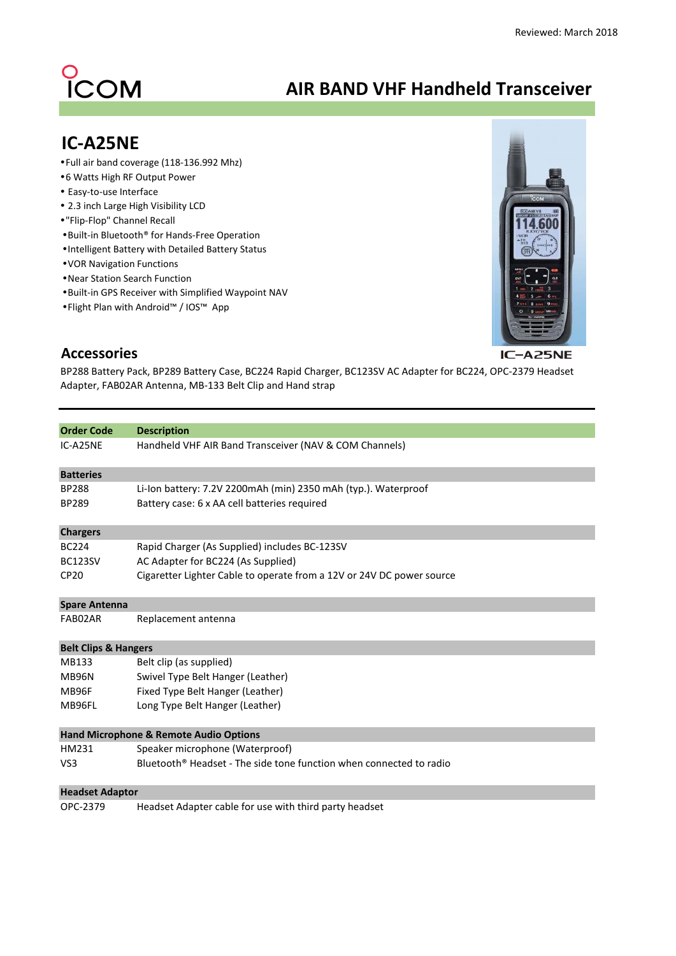## O<br>ICOM

## **AIR BAND VHF Handheld Transceiver**

## **IC-A25NE**

- Full air band coverage (118-136.992 Mhz)
- 6 Watts High RF Output Power
- Easy-to-use Interface
- 2.3 inch Large High Visibility LCD
- "Flip-Flop" Channel Recall
- Built-in Bluetooth® for Hands-Free Operation
- Intelligent Battery with Detailed Battery Status
- VOR Navigation Functions
- Near Station Search Function
- Built-in GPS Receiver with Simplified Waypoint NAV
- Flight Plan with Android™ / IOS™ App



## **Accessories**

BP288 Battery Pack, BP289 Battery Case, BC224 Rapid Charger, BC123SV AC Adapter for BC224, OPC-2379 Headset Adapter, FAB02AR Antenna, MB-133 Belt Clip and Hand strap

| <b>Order Code</b>               | <b>Description</b>                                                              |
|---------------------------------|---------------------------------------------------------------------------------|
| IC-A25NE                        | Handheld VHF AIR Band Transceiver (NAV & COM Channels)                          |
| <b>Batteries</b>                |                                                                                 |
| <b>BP288</b>                    | Li-Ion battery: 7.2V 2200mAh (min) 2350 mAh (typ.). Waterproof                  |
| <b>BP289</b>                    | Battery case: 6 x AA cell batteries required                                    |
| <b>Chargers</b>                 |                                                                                 |
| <b>BC224</b>                    | Rapid Charger (As Supplied) includes BC-123SV                                   |
| <b>BC123SV</b>                  | AC Adapter for BC224 (As Supplied)                                              |
| <b>CP20</b>                     | Cigaretter Lighter Cable to operate from a 12V or 24V DC power source           |
| <b>Spare Antenna</b>            |                                                                                 |
| FAB02AR                         | Replacement antenna                                                             |
| <b>Belt Clips &amp; Hangers</b> |                                                                                 |
| MB133                           | Belt clip (as supplied)                                                         |
| MB96N                           | Swivel Type Belt Hanger (Leather)                                               |
| MB96F                           | Fixed Type Belt Hanger (Leather)                                                |
| MB96FL                          | Long Type Belt Hanger (Leather)                                                 |
|                                 | <b>Hand Microphone &amp; Remote Audio Options</b>                               |
| HM231                           | Speaker microphone (Waterproof)                                                 |
| VS <sub>3</sub>                 | Bluetooth <sup>®</sup> Headset - The side tone function when connected to radio |
| <b>Headset Adaptor</b>          |                                                                                 |
| OPC-2379                        | Headset Adapter cable for use with third party headset                          |